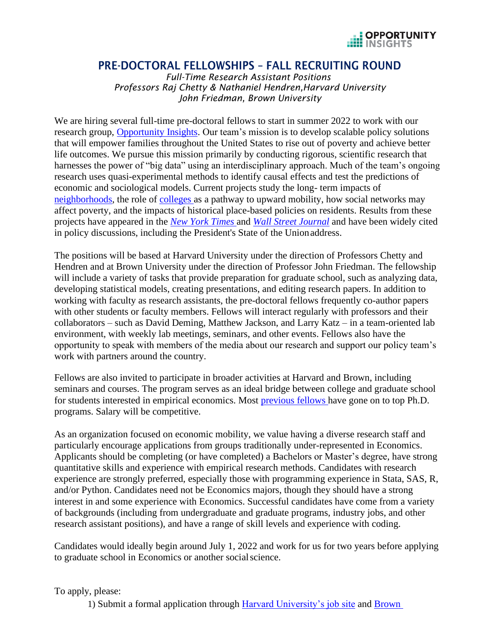

## PRE-DOCTORAL FELLOWSHIPS – FALL RECRUITING ROUND

*Full-Time Research Assistant Positions Professors Raj Chetty & Nathaniel Hendren,Harvard University John Friedman, Brown University*

We are hiring several full-time pre-doctoral fellows to start in summer 2022 to work with our research group, [Opportunity Insights.](https://opportunityinsights.org/) Our team's mission is to develop scalable policy solutions that will empower families throughout the United States to rise out of poverty and achieve better life outcomes. We pursue this mission primarily by conducting rigorous, scientific research that harnesses the power of "big data" using an interdisciplinary approach. Much of the team's ongoing research uses quasi-experimental methods to identify causal effects and test the predictions of economic and sociological models. Current projects study the long- term impacts of [neighborhoods,](https://opportunityinsights.org/neighborhoods/) the role of [colleges](https://opportunityinsights.org/education/) as a pathway to upward mobility, how social networks may affect poverty, and the impacts of historical place-based policies on residents. Results from these projects have appeared in the *[New York Times](https://www.nytimes.com/interactive/2017/01/18/upshot/some-colleges-have-more-students-from-the-top-1-percent-than-the-bottom-60.html)* and *[Wall Street Journal](https://www.wsj.com/articles/when-the-safety-net-pays-for-itself-11563800405)* and have been widely cited in policy discussions, including the President's State of the Unionaddress.

The positions will be based at Harvard University under the direction of Professors Chetty and Hendren and at Brown University under the direction of Professor John Friedman. The fellowship will include a variety of tasks that provide preparation for graduate school, such as analyzing data, developing statistical models, creating presentations, and editing research papers. In addition to working with faculty as research assistants, the pre-doctoral fellows frequently co-author papers with other students or faculty members. Fellows will interact regularly with professors and their collaborators – such as David Deming, Matthew Jackson, and Larry Katz – in a team-oriented lab environment, with weekly lab meetings, seminars, and other events. Fellows also have the opportunity to speak with members of the media about our research and support our policy team's work with partners around the country.

Fellows are also invited to participate in broader activities at Harvard and Brown, including seminars and courses. The program serves as an ideal bridge between college and graduate school for students interested in empirical economics. Most [previous fellows h](https://opportunityinsights.org/team/)ave gone on to top Ph.D. programs. Salary will be competitive.

As an organization focused on economic mobility, we value having a diverse research staff and particularly encourage applications from groups traditionally under-represented in Economics. Applicants should be completing (or have completed) a Bachelors or Master's degree, have strong quantitative skills and experience with empirical research methods. Candidates with research experience are strongly preferred, especially those with programming experience in Stata, SAS, R, and/or Python. Candidates need not be Economics majors, though they should have a strong interest in and some experience with Economics. Successful candidates have come from a variety of backgrounds (including from undergraduate and graduate programs, industry jobs, and other research assistant positions), and have a range of skill levels and experience with coding.

Candidates would ideally begin around July 1, 2022 and work for us for two years before applying to graduate school in Economics or another socialscience.

To apply, please:

1) Submit a formal application through [Harvard University's job site](https://academicpositions.harvard.edu/postings/10535) and [Brown](https://brown.wd5.myworkdayjobs.com/staff-careers-brown/jobs)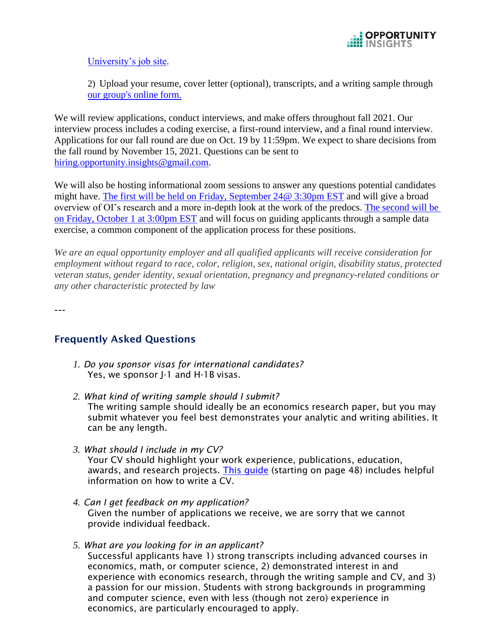

[University's job site.](https://brown.wd5.myworkdayjobs.com/staff-careers-brown/jobs)

2) Upload your resume, cover letter (optional), transcripts, and a writing sample through [our group's online](https://docs.google.com/forms/d/1ais14aRFllc-RgWQPTuFzb25N_WBB4yurhu5i5nZaRs/viewform?edit_requested=true) form.

We will review applications, conduct interviews, and make offers throughout fall 2021. Our interview process includes a coding exercise, a first-round interview, and a final round interview. Applications for our fall round are due on Oct. 19 by 11:59pm. We expect to share decisions from the fall round by November 15, 2021. Questions can be sent to [hiring.opportunity.insights@gmail.com.](mailto:hiring.opportunity.insights@gmail.com)

We will also be hosting informational zoom sessions to answer any questions potential candidates might have. [The first will be held on Friday, September 24@ 3:30pm EST](https://harvard.zoom.us/webinar/register/WN_ZXcULeSmRi69_gj70qCLFg) and will give a broad overview of OI's research and a more in-depth look at the work of the predocs. [The second will be](https://harvard.zoom.us/webinar/register/WN_viD_kWVuRMKztg9oyA4b4A?_x_zm_rtaid=5J8WO2izSvClOOIm6CniHA.1629387351416.193e838ff5fbb5b5408089e84c931ab6&_x_zm_rhtaid=481)  [on Friday, October 1 at 3:00pm EST](https://harvard.zoom.us/webinar/register/WN_viD_kWVuRMKztg9oyA4b4A?_x_zm_rtaid=5J8WO2izSvClOOIm6CniHA.1629387351416.193e838ff5fbb5b5408089e84c931ab6&_x_zm_rhtaid=481) and will focus on guiding applicants through a sample data exercise, a common component of the application process for these positions.

*We are an equal opportunity employer and all qualified applicants will receive consideration for employment without regard to race, color, religion, sex, national origin, disability status, protected veteran status, gender identity, sexual orientation, pregnancy and pregnancy-related conditions or any other characteristic protected by law*

---

## Frequently Asked Questions

- *1. Do you sponsor visas for international candidates?*  Yes, we sponsor J-1 and H-1B visas.
- *2. What kind of writing sample should I submit?* The writing sample should ideally be an economics research paper, but you may submit whatever you feel best demonstrates your analytic and writing abilities. It can be any length.
- *3. What should I include in my CV?* Your CV should highlight your work experience, publications, education, awards, and research projects. This quide (starting on page 48) includes helpful information on how to write a CV.
- *4. Can I get feedback on my application?* Given the number of applications we receive, we are sorry that we cannot provide individual feedback.
- *5. What are you looking for in an applicant?* Successful applicants have 1) strong transcripts including advanced courses in economics, math, or computer science, 2) demonstrated interest in and experience with economics research, through the writing sample and CV, and 3) a passion for our mission. Students with strong backgrounds in programming and computer science, even with less (though not zero) experience in economics, are particularly encouraged to apply.